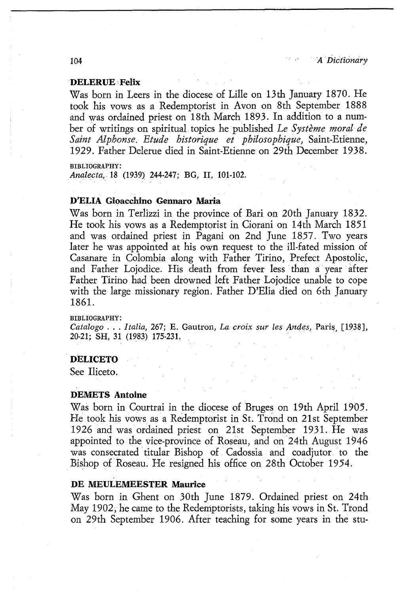## DE MEULEMEESTER Maurice

Was born in Ghent on 30th June 1879. Ordained priest on 24th May 1902, he came to the Redemptorists, taking his vows in St. Trond on 29th September 1906. After teaching for some years in the stu